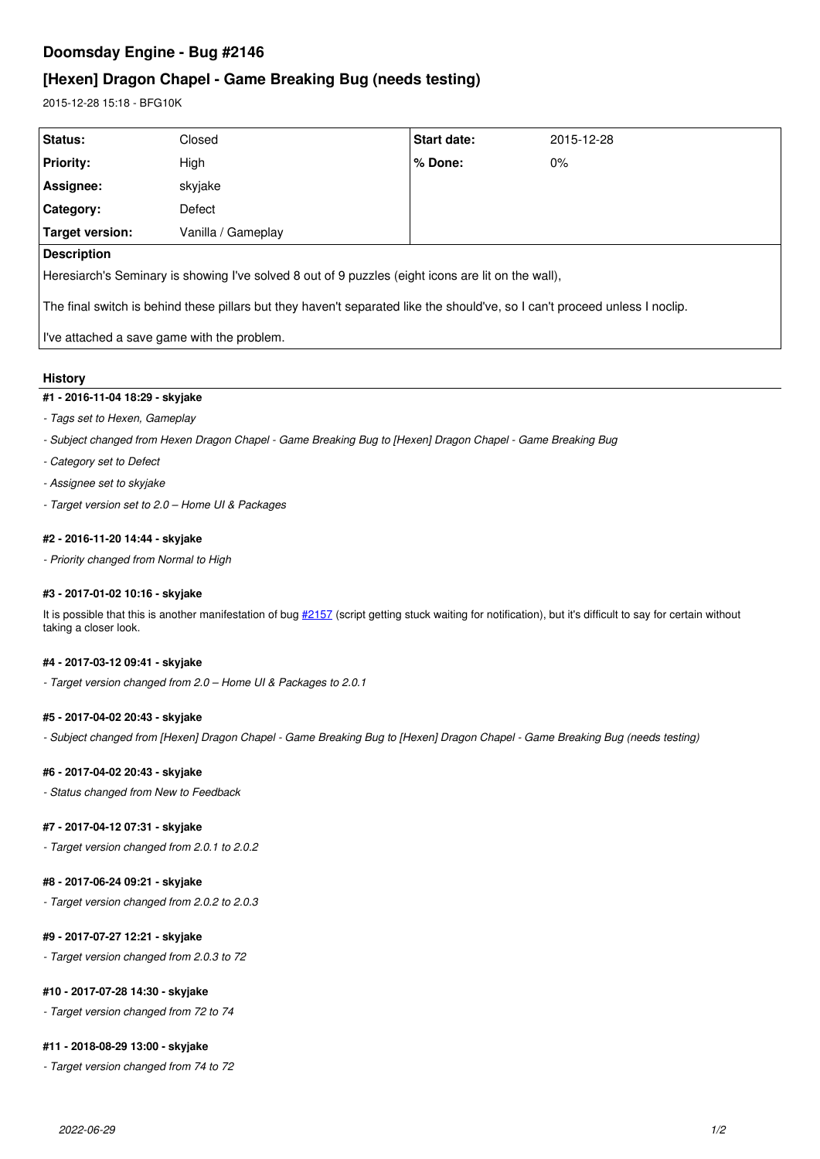# **Doomsday Engine - Bug #2146**

# **[Hexen] Dragon Chapel - Game Breaking Bug (needs testing)**

2015-12-28 15:18 - BFG10K

| Status:                                                                                                                     | Closed             | <b>Start date:</b> | 2015-12-28 |
|-----------------------------------------------------------------------------------------------------------------------------|--------------------|--------------------|------------|
| <b>Priority:</b>                                                                                                            | High               | $%$ Done:          | $0\%$      |
| Assignee:                                                                                                                   | skyjake            |                    |            |
| Category:                                                                                                                   | Defect             |                    |            |
| Target version:                                                                                                             | Vanilla / Gameplay |                    |            |
| Description                                                                                                                 |                    |                    |            |
| Heresiarch's Seminary is showing I've solved 8 out of 9 puzzles (eight icons are lit on the wall),                          |                    |                    |            |
| The final switch is behind these pillars but they haven't separated like the should've, so I can't proceed unless I noclip. |                    |                    |            |
| I've attached a save game with the problem.                                                                                 |                    |                    |            |

## **History**

## **#1 - 2016-11-04 18:29 - skyjake**

- *Tags set to Hexen, Gameplay*
- *Subject changed from Hexen Dragon Chapel Game Breaking Bug to [Hexen] Dragon Chapel Game Breaking Bug*
- *Category set to Defect*
- *Assignee set to skyjake*
- *Target version set to 2.0 Home UI & Packages*

## **#2 - 2016-11-20 14:44 - skyjake**

*- Priority changed from Normal to High*

## **#3 - 2017-01-02 10:16 - skyjake**

It is possible that this is another manifestation of bug [#2157](http://skyjake.fi/issues/2157) (script getting stuck waiting for notification), but it's difficult to say for certain without taking a closer look.

#### **#4 - 2017-03-12 09:41 - skyjake**

*- Target version changed from 2.0 – Home UI & Packages to 2.0.1*

#### **#5 - 2017-04-02 20:43 - skyjake**

*- Subject changed from [Hexen] Dragon Chapel - Game Breaking Bug to [Hexen] Dragon Chapel - Game Breaking Bug (needs testing)*

#### **#6 - 2017-04-02 20:43 - skyjake**

*- Status changed from New to Feedback*

#### **#7 - 2017-04-12 07:31 - skyjake**

*- Target version changed from 2.0.1 to 2.0.2*

## **#8 - 2017-06-24 09:21 - skyjake**

*- Target version changed from 2.0.2 to 2.0.3*

## **#9 - 2017-07-27 12:21 - skyjake**

*- Target version changed from 2.0.3 to 72*

#### **#10 - 2017-07-28 14:30 - skyjake**

*- Target version changed from 72 to 74*

#### **#11 - 2018-08-29 13:00 - skyjake**

*- Target version changed from 74 to 72*